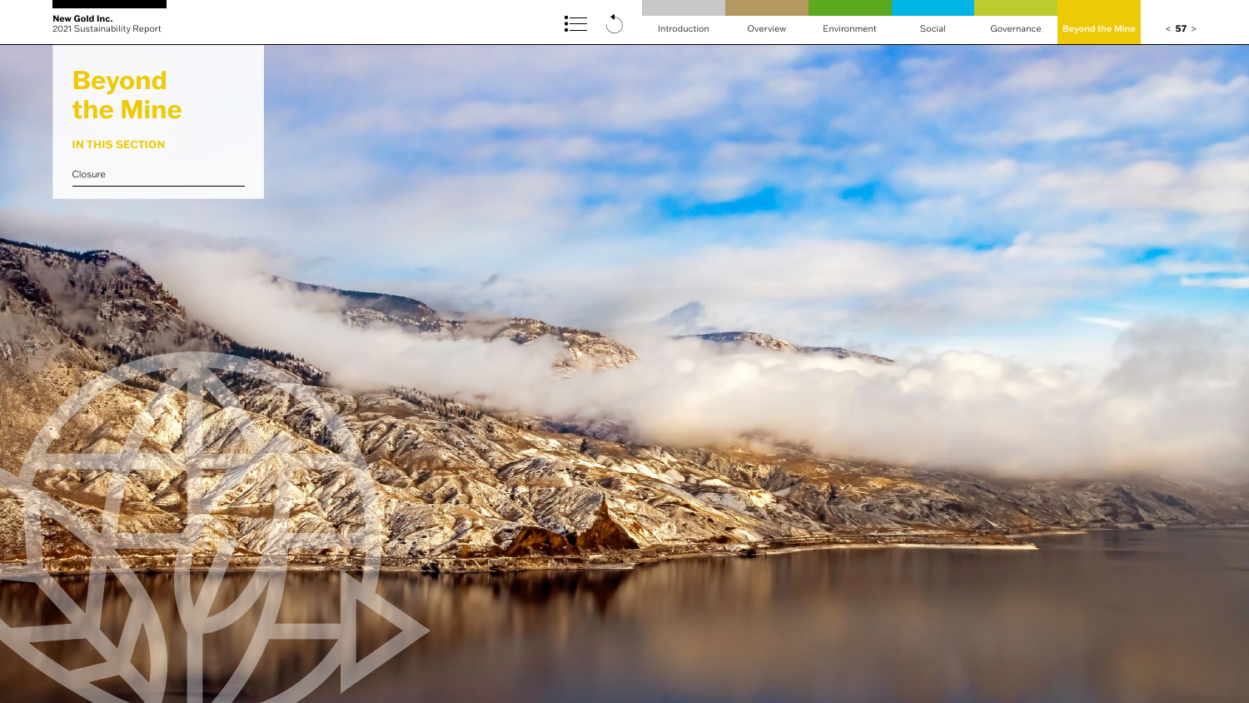**SHELF** 



# **IN THIS SECTION**

[Closure](#page-1-0)

# **Beyond the Mine**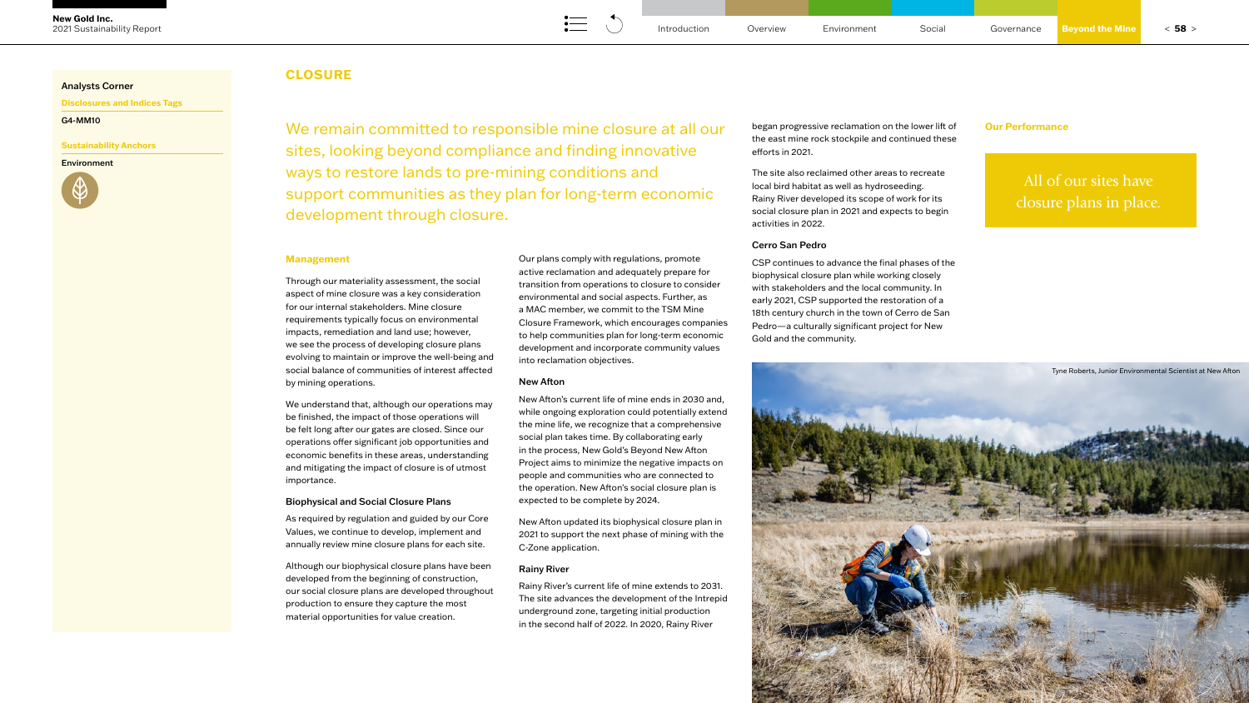# **CLOSURE**

### <span id="page-1-0"></span>Analysts Corner

**Disclosures and Indices Tags**

G4-MM10

# **Sustainability Anchors**

Environment



# **Management**

Through our materiality assessment, the social aspect of mine closure was a key consideration for our internal stakeholders. Mine closure requirements typically focus on environmental impacts, remediation and land use; however, we see the process of developing closure plans evolving to maintain or improve the well-being and social balance of communities of interest affected by mining operations.

We understand that, although our operations may be finished, the impact of those operations will be felt long after our gates are closed. Since our operations offer significant job opportunities and economic benefits in these areas, understanding and mitigating the impact of closure is of utmost importance.

# Biophysical and Social Closure Plans

As required by regulation and guided by our Core Values, we continue to develop, implement and annually review mine closure plans for each site.

Although our biophysical closure plans have been developed from the beginning of construction, our social closure plans are developed throughout production to ensure they capture the most material opportunities for value creation.

Our plans comply with regulations, promote active reclamation and adequately prepare for transition from operations to closure to consider environmental and social aspects. Further, as a MAC member, we commit to the TSM Mine Closure Framework, which encourages companies to help communities plan for long-term economic development and incorporate community values into reclamation objectives.

We remain committed to responsible mine closure at all our began progressive reclamation on the lower lift of **Our Performance** sites, looking beyond compliance and finding innovative ways to restore lands to pre-mining conditions and support communities as they plan for long-term economic development through closure.

## New Afton

New Afton's current life of mine ends in 2030 and, while ongoing exploration could potentially extend the mine life, we recognize that a comprehensive social plan takes time. By collaborating early in the process, New Gold's Beyond New Afton Project aims to minimize the negative impacts on people and communities who are connected to the operation. New Afton's social closure plan is expected to be complete by 2024.

New Afton updated its biophysical closure plan in 2021 to support the next phase of mining with the C-Zone application.

# Rainy River

Rainy River's current life of mine extends to 2031. The site advances the development of the Intrepid underground zone, targeting initial production in the second half of 2022. In 2020, Rainy River

began progressive reclamation on the lower lift of the east mine rock stockpile and continued these efforts in 2021.

The site also reclaimed other areas to recreate local bird habitat as well as hydroseeding. Rainy River developed its scope of work for its social closure plan in 2021 and expects to begin activities in 2022.

# Cerro San Pedro

CSP continues to advance the final phases of the biophysical closure plan while working closely with stakeholders and the local community. In early 2021, CSP supported the restoration of a 18th century church in the town of Cerro de San Pedro—a culturally significant project for New Gold and the community.

All of our sites have closure plans in place.